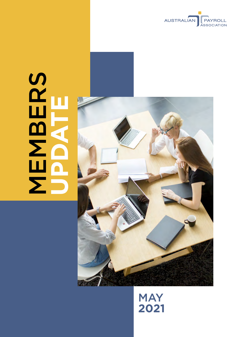

# SCHOOL NEWS **MBERS UPDATE**



# **MAY 2021**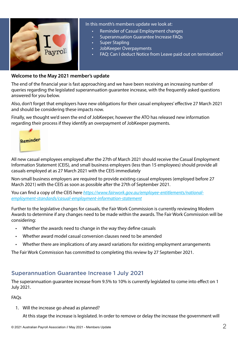

#### In this month's members update we look at:

- Reminder of Casual Employment changes
- Superannuation Guarantee Increase FAQs
- **Super Stapling**
- JobKeeper Overpayments
- FAQ: Can I deduct Notice from Leave paid out on termination?

#### **Welcome to the May 2021 member's update**

The end of the financial year is fast approaching and we have been receiving an increasing number of queries regarding the legislated superannuation guarantee increase, with the frequently asked questions answered for you below.

Also, don't forget that employers have new obligations for their casual employees' effective 27 March 2021 and should be considering these impacts now.

Finally, we thought we'd seen the end of JobKeeper, however the ATO has released new information regarding their process if they identify an overpayment of JobKeeper payments.



All new casual employees employed after the 27th of March 2021 should receive the Casual Employment Information Statement (CEIS), and small business employers (less than 15 employees) should provide all casuals employed at as 27 March 2021 with the CEIS immediately

Non-small business employers are required to provide existing casual employees (employed before 27 March 2021) with the CEIS as soon as possible after the 27th of September 2021.

You can find a copy of the CEIS here *[https://www.fairwork.gov.au/employee-entitlements/national](https://www.fairwork.gov.au/employee-entitlements/national-employment-standards/casual-employment-information-statement)[employment-standards/casual-employment-information-statement](https://www.fairwork.gov.au/employee-entitlements/national-employment-standards/casual-employment-information-statement)*

Further to the legislative changes for casuals, the Fair Work Commission is currently reviewing Modern Awards to determine if any changes need to be made within the awards. The Fair Work Commission will be considering:

- Whether the awards need to change in the way they define casuals
- Whether award model casual conversion clauses need to be amended
- Whether there are implications of any award variations for existing employment arrangements

The Fair Work Commission has committed to completing this review by 27 September 2021.

#### Superannuation Guarantee Increase 1 July 2021

The superannuation guarantee increase from 9.5% to 10% is currently legislated to come into effect on 1 July 2021.

FAQs

1. Will the increase go ahead as planned?

At this stage the increase is legislated. In order to remove or delay the increase the government will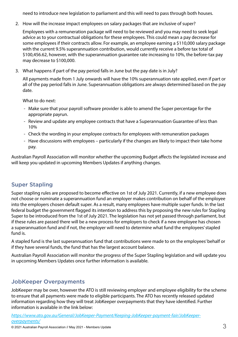need to introduce new legislation to parliament and this will need to pass through both houses.

2. How will the increase impact employees on salary packages that are inclusive of super?

Employees with a remuneration package will need to be reviewed and you may need to seek legal advice as to your contractual obligations for these employees. This could mean a pay decrease for some employees if their contracts allow. For example, an employee earning a \$110,000 salary package with the current 9.5% superannuation contribution, would currently receive a before tax total of \$100,456.62, however, with the superannuation guarantee rate increasing to 10%, the before-tax pay may decrease to \$100,000.

3. What happens if part of the pay period falls in June but the pay date is in July?

All payments made from 1 July onwards will have the 10% superannuation rate applied, even if part or all of the pay period falls in June. Superannuation obligations are always determined based on the pay date.

What to do next:

- Make sure that your payroll software provider is able to amend the Super percentage for the appropriate payrun.
- Review and update any employee contracts that have a Superannuation Guarantee of less than 10%
- Check the wording in your employee contracts for employees with remuneration packages
- Have discussions with employees particularly if the changes are likely to impact their take home pay.

Australian Payroll Association will monitor whether the upcoming Budget affects the legislated increase and will keep you updated in upcoming Members Updates if anything changes.

#### Super Stapling

Super stapling rules are proposed to become effective on 1st of July 2021. Currently, if a new employee does not choose or nominate a superannuation fund an employer makes contribution on behalf of the employee into the employers chosen default super. As a result, many employees have multiple super funds. In the last federal budget the government flagged its intention to address this by proposing the new rules for Stapling Super to be introduced from the 1st of July 2021. The legislation has not yet passed through parliament, but if these rules are passed there will be a new process for employers to check if a new employee has chosen a superannuation fund and if not, the employer will need to determine what fund the employees' stapled fund is.

A stapled fund is the last superannuation fund that contributions were made to on the employees' behalf or if they have several funds, the fund that has the largest account balance.

Australian Payroll Association will monitor the progress of the Super Stapling legislation and will update you in upcoming Members Updates once further information is available.

#### JobKeeper Overpayments

JobKeeper may be over, however the ATO is still reviewing employer and employee eligibility for the scheme to ensure that all payments were made to eligible participants. The ATO has recently released updated information regarding how they will treat JobKeeper overpayments that they have identified. Further information is available in the link below: